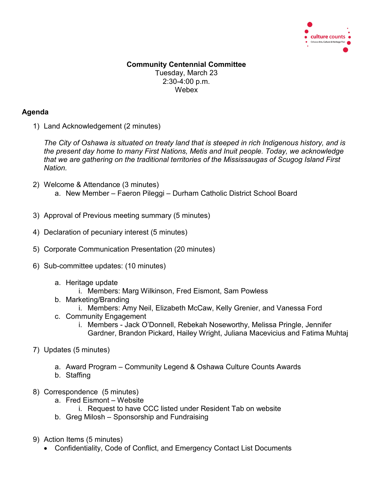

## **Community Centennial Committee** Tuesday, March 23 2:30-4:00 p.m. Webex

## **Agenda**

1) Land Acknowledgement (2 minutes)

*The City of Oshawa is situated on treaty land that is steeped in rich Indigenous history, and is the present day home to many First Nations, Metis and Inuit people. Today, we acknowledge that we are gathering on the traditional territories of the Mississaugas of Scugog Island First Nation.*

- 2) Welcome & Attendance (3 minutes) a. New Member – Faeron Pileggi – Durham Catholic District School Board
- 3) Approval of Previous meeting summary (5 minutes)
- 4) Declaration of pecuniary interest (5 minutes)
- 5) Corporate Communication Presentation (20 minutes)
- 6) Sub-committee updates: (10 minutes)
	- a. Heritage update
		- i. Members: Marg Wilkinson, Fred Eismont, Sam Powless
	- b. Marketing/Branding
		- i. Members: Amy Neil, Elizabeth McCaw, Kelly Grenier, and Vanessa Ford
	- c. Community Engagement
		- i. Members Jack O'Donnell, Rebekah Noseworthy, Melissa Pringle, Jennifer Gardner, Brandon Pickard, Hailey Wright, Juliana Macevicius and Fatima Muhtaj
- 7) Updates (5 minutes)
	- a. Award Program Community Legend & Oshawa Culture Counts Awards
	- b. Staffing
- 8) Correspondence (5 minutes)
	- a. Fred Eismont Website
		- i. Request to have CCC listed under Resident Tab on website
	- b. Greg Milosh Sponsorship and Fundraising
- 9) Action Items (5 minutes)
	- Confidentiality, Code of Conflict, and Emergency Contact List Documents